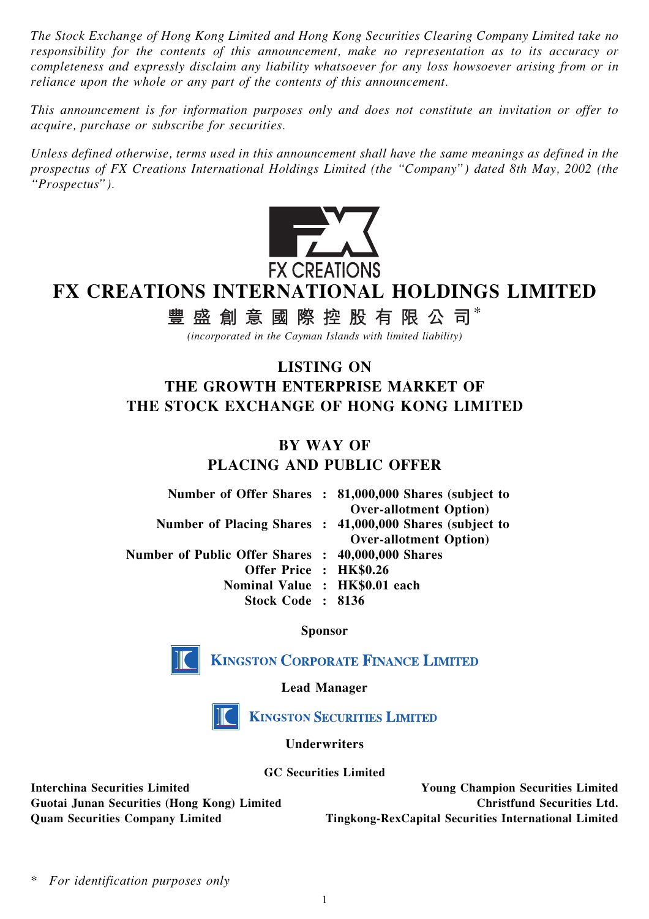The Stock Exchange of Hong Kong Limited and Hong Kong Securities Clearing Company Limited take no responsibility for the contents of this announcement, make no representation as to its accuracy or completeness and expressly disclaim any liability whatsoever for any loss howsoever arising from or in reliance upon the whole or any part of the contents of this announcement.

This announcement is for information purposes only and does not constitute an invitation or offer to acquire, purchase or subscribe for securities.

Unless defined otherwise, terms used in this announcement shall have the same meanings as defined in the prospectus of FX Creations International Holdings Limited (the ''Company'') dated 8th May, 2002 (the ''Prospectus'').



# FX CREATIONS INTERNATIONAL HOLDINGS LIMITED

# 豐盛創意國際控股有限公司\*

(incorporated in the Cayman Islands with limited liability)

## LISTING ON THE GROWTH ENTERPRISE MARKET OF THE STOCK EXCHANGE OF HONG KONG LIMITED

#### BY WAY OF PLACING AND PUBLIC OFFER

|                                                   | Number of Offer Shares : 81,000,000 Shares (subject to<br><b>Over-allotment Option</b> )   |
|---------------------------------------------------|--------------------------------------------------------------------------------------------|
|                                                   | Number of Placing Shares : 41,000,000 Shares (subject to<br><b>Over-allotment Option</b> ) |
| Number of Public Offer Shares : 40,000,000 Shares |                                                                                            |
| Offer Price: HK\$0.26                             |                                                                                            |
| Nominal Value : HK\$0.01 each                     |                                                                                            |
| Stock Code: 8136                                  |                                                                                            |

#### Sponsor



**KINGSTON CORPORATE FINANCE LIMITED** 

Lead Manager



**KINGSTON SECURITIES LIMITED** 

Underwriters

GC Securities Limited

Interchina Securities Limited Young Champion Securities Limited Guotai Junan Securities (Hong Kong) Limited Christfund Securities Ltd. Quam Securities Company Limited Tingkong-RexCapital Securities International Limited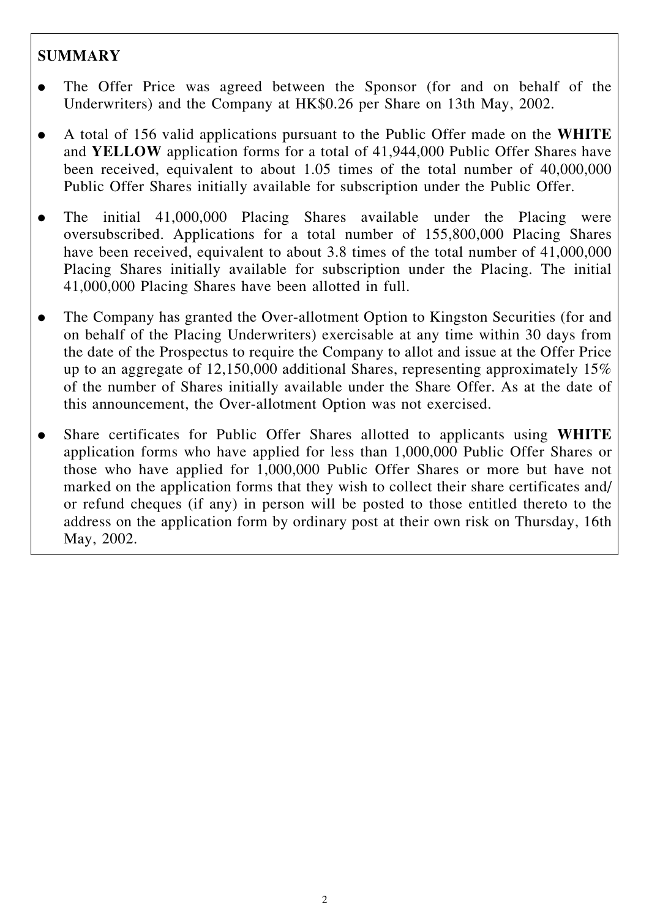### **SUMMARY**

- . The Offer Price was agreed between the Sponsor (for and on behalf of the Underwriters) and the Company at HK\$0.26 per Share on 13th May, 2002.
- . A total of 156 valid applications pursuant to the Public Offer made on the WHITE and YELLOW application forms for a total of 41,944,000 Public Offer Shares have been received, equivalent to about 1.05 times of the total number of 40,000,000 Public Offer Shares initially available for subscription under the Public Offer.
- . The initial 41,000,000 Placing Shares available under the Placing were oversubscribed. Applications for a total number of 155,800,000 Placing Shares have been received, equivalent to about 3.8 times of the total number of 41,000,000 Placing Shares initially available for subscription under the Placing. The initial 41,000,000 Placing Shares have been allotted in full.
- . The Company has granted the Over-allotment Option to Kingston Securities (for and on behalf of the Placing Underwriters) exercisable at any time within 30 days from the date of the Prospectus to require the Company to allot and issue at the Offer Price up to an aggregate of 12,150,000 additional Shares, representing approximately 15% of the number of Shares initially available under the Share Offer. As at the date of this announcement, the Over-allotment Option was not exercised.
- . Share certificates for Public Offer Shares allotted to applicants using WHITE application forms who have applied for less than 1,000,000 Public Offer Shares or those who have applied for 1,000,000 Public Offer Shares or more but have not marked on the application forms that they wish to collect their share certificates and/ or refund cheques (if any) in person will be posted to those entitled thereto to the address on the application form by ordinary post at their own risk on Thursday, 16th May, 2002.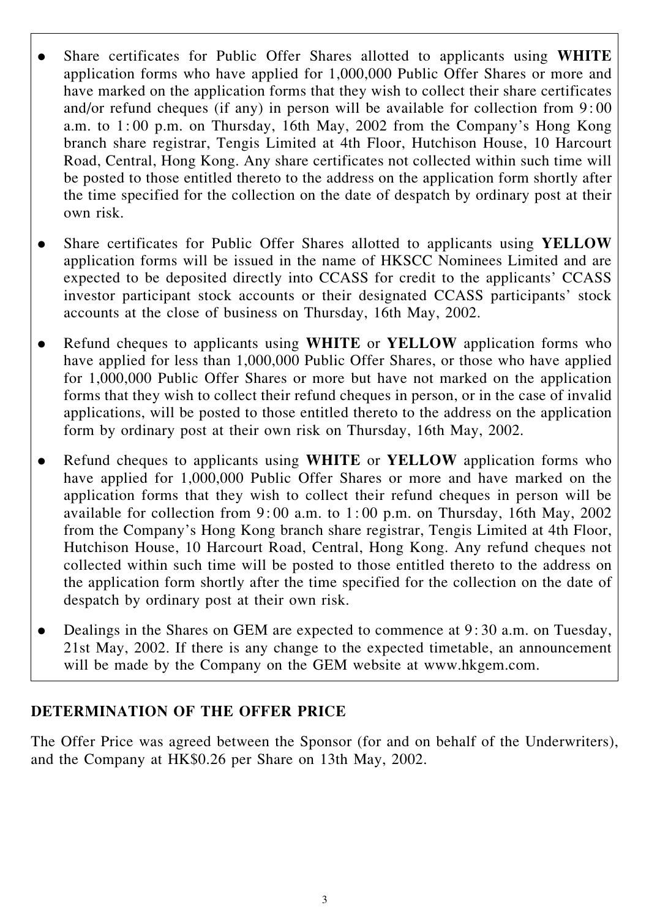- Share certificates for Public Offer Shares allotted to applicants using WHITE application forms who have applied for 1,000,000 Public Offer Shares or more and have marked on the application forms that they wish to collect their share certificates and/or refund cheques (if any) in person will be available for collection from 9: 00 a.m. to 1: 00 p.m. on Thursday, 16th May, 2002 from the Company's Hong Kong branch share registrar, Tengis Limited at 4th Floor, Hutchison House, 10 Harcourt Road, Central, Hong Kong. Any share certificates not collected within such time will be posted to those entitled thereto to the address on the application form shortly after the time specified for the collection on the date of despatch by ordinary post at their own risk.
- Share certificates for Public Offer Shares allotted to applicants using YELLOW application forms will be issued in the name of HKSCC Nominees Limited and are expected to be deposited directly into CCASS for credit to the applicants' CCASS investor participant stock accounts or their designated CCASS participants' stock accounts at the close of business on Thursday, 16th May, 2002.
- Refund cheques to applicants using WHITE or YELLOW application forms who have applied for less than 1,000,000 Public Offer Shares, or those who have applied for 1,000,000 Public Offer Shares or more but have not marked on the application forms that they wish to collect their refund cheques in person, or in the case of invalid applications, will be posted to those entitled thereto to the address on the application form by ordinary post at their own risk on Thursday, 16th May, 2002.
- Refund cheques to applicants using WHITE or YELLOW application forms who have applied for 1,000,000 Public Offer Shares or more and have marked on the application forms that they wish to collect their refund cheques in person will be available for collection from 9: 00 a.m. to 1: 00 p.m. on Thursday, 16th May, 2002 from the Company's Hong Kong branch share registrar, Tengis Limited at 4th Floor, Hutchison House, 10 Harcourt Road, Central, Hong Kong. Any refund cheques not collected within such time will be posted to those entitled thereto to the address on the application form shortly after the time specified for the collection on the date of despatch by ordinary post at their own risk.
- . Dealings in the Shares on GEM are expected to commence at 9: 30 a.m. on Tuesday, 21st May, 2002. If there is any change to the expected timetable, an announcement will be made by the Company on the GEM website at www.hkgem.com.

#### DETERMINATION OF THE OFFER PRICE

The Offer Price was agreed between the Sponsor (for and on behalf of the Underwriters), and the Company at HK\$0.26 per Share on 13th May, 2002.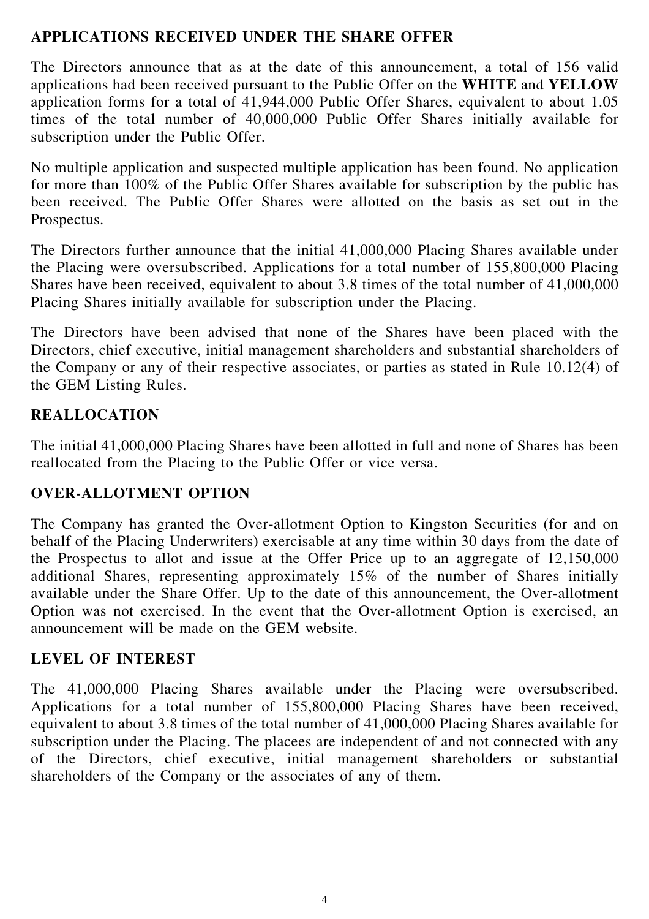#### APPLICATIONS RECEIVED UNDER THE SHARE OFFER

The Directors announce that as at the date of this announcement, a total of 156 valid applications had been received pursuant to the Public Offer on the WHITE and YELLOW application forms for a total of 41,944,000 Public Offer Shares, equivalent to about 1.05 times of the total number of 40,000,000 Public Offer Shares initially available for subscription under the Public Offer.

No multiple application and suspected multiple application has been found. No application for more than 100% of the Public Offer Shares available for subscription by the public has been received. The Public Offer Shares were allotted on the basis as set out in the Prospectus.

The Directors further announce that the initial 41,000,000 Placing Shares available under the Placing were oversubscribed. Applications for a total number of 155,800,000 Placing Shares have been received, equivalent to about 3.8 times of the total number of 41,000,000 Placing Shares initially available for subscription under the Placing.

The Directors have been advised that none of the Shares have been placed with the Directors, chief executive, initial management shareholders and substantial shareholders of the Company or any of their respective associates, or parties as stated in Rule 10.12(4) of the GEM Listing Rules.

### REALLOCATION

The initial 41,000,000 Placing Shares have been allotted in full and none of Shares has been reallocated from the Placing to the Public Offer or vice versa.

#### OVER-ALLOTMENT OPTION

The Company has granted the Over-allotment Option to Kingston Securities (for and on behalf of the Placing Underwriters) exercisable at any time within 30 days from the date of the Prospectus to allot and issue at the Offer Price up to an aggregate of 12,150,000 additional Shares, representing approximately 15% of the number of Shares initially available under the Share Offer. Up to the date of this announcement, the Over-allotment Option was not exercised. In the event that the Over-allotment Option is exercised, an announcement will be made on the GEM website.

#### LEVEL OF INTEREST

The 41,000,000 Placing Shares available under the Placing were oversubscribed. Applications for a total number of 155,800,000 Placing Shares have been received, equivalent to about 3.8 times of the total number of 41,000,000 Placing Shares available for subscription under the Placing. The placees are independent of and not connected with any of the Directors, chief executive, initial management shareholders or substantial shareholders of the Company or the associates of any of them.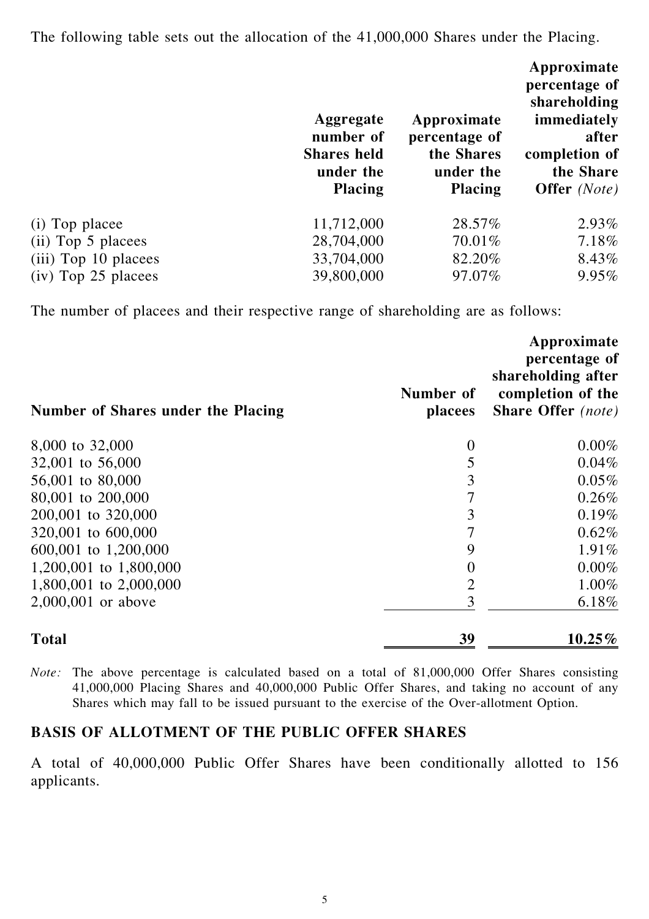The following table sets out the allocation of the 41,000,000 Shares under the Placing.

|                       | Aggregate<br>number of<br><b>Shares held</b><br>under the<br><b>Placing</b> | Approximate<br>percentage of<br>the Shares<br>under the<br><b>Placing</b> | Approximate<br>percentage of<br>shareholding<br>immediately<br>after<br>completion of<br>the Share<br><b>Offer</b> (Note) |
|-----------------------|-----------------------------------------------------------------------------|---------------------------------------------------------------------------|---------------------------------------------------------------------------------------------------------------------------|
| (i) Top placee        | 11,712,000                                                                  | 28.57%                                                                    | 2.93%                                                                                                                     |
| (ii) Top 5 placees    | 28,704,000                                                                  | 70.01%                                                                    | 7.18%                                                                                                                     |
| (iii) Top 10 placees  | 33,704,000                                                                  | 82.20%                                                                    | 8.43%                                                                                                                     |
| $(iv)$ Top 25 placees | 39,800,000                                                                  | 97.07%                                                                    | 9.95%                                                                                                                     |

The number of placees and their respective range of shareholding are as follows:

| Number of Shares under the Placing | Number of<br>placees | Approximate<br>percentage of<br>shareholding after<br>completion of the<br><b>Share Offer</b> (note) |
|------------------------------------|----------------------|------------------------------------------------------------------------------------------------------|
| 8,000 to 32,000                    | $\overline{0}$       | $0.00\%$                                                                                             |
| 32,001 to 56,000                   | 5                    | 0.04%                                                                                                |
| 56,001 to 80,000                   | 3                    | 0.05%                                                                                                |
| 80,001 to 200,000                  | 7                    | 0.26%                                                                                                |
| 200,001 to 320,000                 | 3                    | 0.19%                                                                                                |
| 320,001 to 600,000                 | 7                    | 0.62%                                                                                                |
| 600,001 to 1,200,000               | 9                    | 1.91%                                                                                                |
| 1,200,001 to 1,800,000             | 0                    | 0.00%                                                                                                |
| 1,800,001 to 2,000,000             | $\overline{2}$       | 1.00%                                                                                                |
| 2,000,001 or above                 | 3                    | 6.18%                                                                                                |
| <b>Total</b>                       | 39                   | $10.25\%$                                                                                            |

Note: The above percentage is calculated based on a total of 81,000,000 Offer Shares consisting 41,000,000 Placing Shares and 40,000,000 Public Offer Shares, and taking no account of any Shares which may fall to be issued pursuant to the exercise of the Over-allotment Option.

#### BASIS OF ALLOTMENT OF THE PUBLIC OFFER SHARES

A total of 40,000,000 Public Offer Shares have been conditionally allotted to 156 applicants.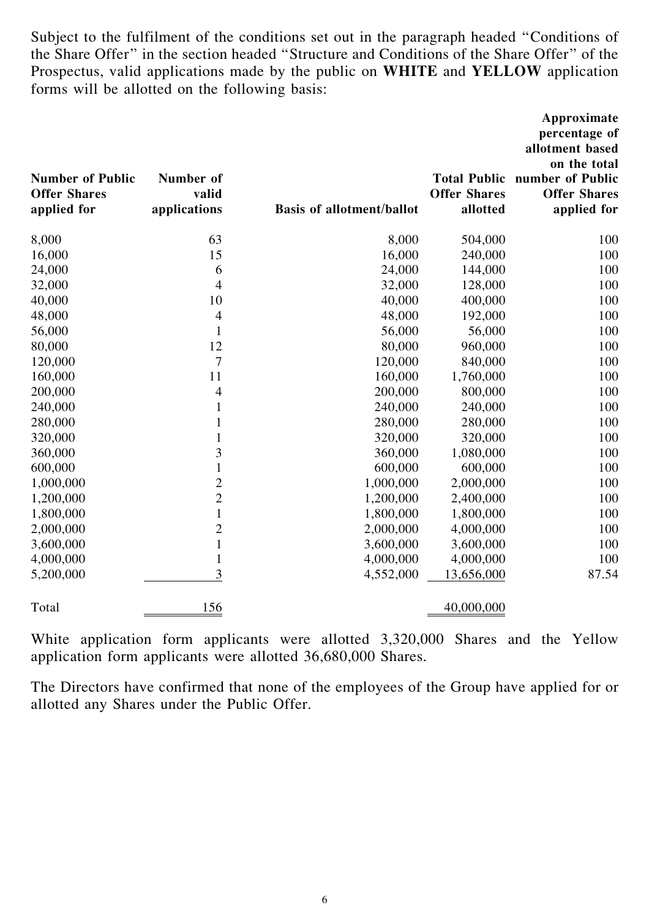Subject to the fulfilment of the conditions set out in the paragraph headed ''Conditions of the Share Offer'' in the section headed ''Structure and Conditions of the Share Offer'' of the Prospectus, valid applications made by the public on WHITE and YELLOW application forms will be allotted on the following basis:

| <b>Number of Public</b><br><b>Offer Shares</b><br>applied for | Number of<br>valid<br>applications | <b>Basis of allotment/ballot</b> | <b>Offer Shares</b><br>allotted | Approximate<br>percentage of<br>allotment based<br>on the total<br><b>Total Public number of Public</b><br><b>Offer Shares</b><br>applied for |
|---------------------------------------------------------------|------------------------------------|----------------------------------|---------------------------------|-----------------------------------------------------------------------------------------------------------------------------------------------|
| 8,000                                                         | 63                                 | 8,000                            | 504,000                         | 100                                                                                                                                           |
| 16,000                                                        | 15                                 | 16,000                           | 240,000                         | 100                                                                                                                                           |
| 24,000                                                        | 6                                  | 24,000                           | 144,000                         | 100                                                                                                                                           |
| 32,000                                                        | 4                                  | 32,000                           | 128,000                         | 100                                                                                                                                           |
| 40,000                                                        | 10                                 | 40,000                           | 400,000                         | 100                                                                                                                                           |
| 48,000                                                        | $\overline{4}$                     | 48,000                           | 192,000                         | 100                                                                                                                                           |
| 56,000                                                        | $\mathbf{1}$                       | 56,000                           | 56,000                          | 100                                                                                                                                           |
| 80,000                                                        | 12                                 | 80,000                           | 960,000                         | 100                                                                                                                                           |
| 120,000                                                       | 7                                  | 120,000                          | 840,000                         | 100                                                                                                                                           |
| 160,000                                                       | 11                                 | 160,000                          | 1,760,000                       | 100                                                                                                                                           |
| 200,000                                                       | 4                                  | 200,000                          | 800,000                         | 100                                                                                                                                           |
| 240,000                                                       | 1                                  | 240,000                          | 240,000                         | 100                                                                                                                                           |
| 280,000                                                       | $\mathbf{1}$                       | 280,000                          | 280,000                         | 100                                                                                                                                           |
| 320,000                                                       | 1                                  | 320,000                          | 320,000                         | 100                                                                                                                                           |
| 360,000                                                       | 3                                  | 360,000                          | 1,080,000                       | 100                                                                                                                                           |
| 600,000                                                       | $\mathbf{1}$                       | 600,000                          | 600,000                         | 100                                                                                                                                           |
| 1,000,000                                                     | $\overline{c}$                     | 1,000,000                        | 2,000,000                       | 100                                                                                                                                           |
| 1,200,000                                                     | $\overline{c}$                     | 1,200,000                        | 2,400,000                       | 100                                                                                                                                           |
| 1,800,000                                                     | $\mathbf{1}$                       | 1,800,000                        | 1,800,000                       | 100                                                                                                                                           |
| 2,000,000                                                     | $\overline{c}$                     | 2,000,000                        | 4,000,000                       | 100                                                                                                                                           |
| 3,600,000                                                     | $\mathbf{1}$                       | 3,600,000                        | 3,600,000                       | 100                                                                                                                                           |
| 4,000,000                                                     | $\mathbf{1}$                       | 4,000,000                        | 4,000,000                       | 100                                                                                                                                           |
| 5,200,000                                                     | 3                                  | 4,552,000                        | 13,656,000                      | 87.54                                                                                                                                         |
| Total                                                         | 156                                |                                  | 40,000,000                      |                                                                                                                                               |

White application form applicants were allotted 3,320,000 Shares and the Yellow application form applicants were allotted 36,680,000 Shares.

The Directors have confirmed that none of the employees of the Group have applied for or allotted any Shares under the Public Offer.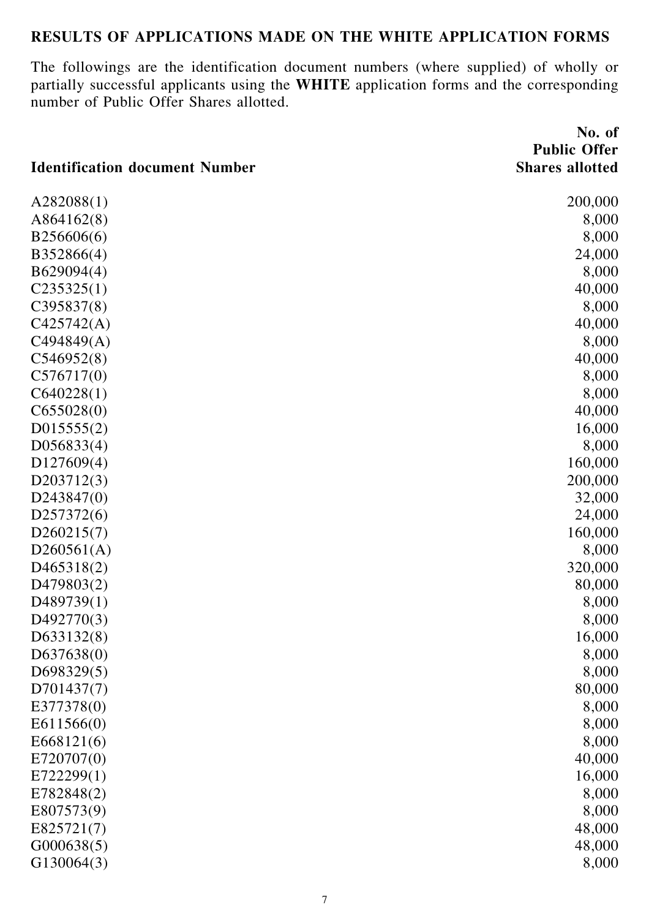## RESULTS OF APPLICATIONS MADE ON THE WHITE APPLICATION FORMS

The followings are the identification document numbers (where supplied) of wholly or partially successful applicants using the WHITE application forms and the corresponding number of Public Offer Shares allotted.

|                                       | No. of                 |
|---------------------------------------|------------------------|
|                                       | <b>Public Offer</b>    |
| <b>Identification document Number</b> | <b>Shares allotted</b> |
| A282088(1)                            | 200,000                |
| A864162(8)                            | 8,000                  |
| B256606(6)                            | 8,000                  |
| B352866(4)                            | 24,000                 |
| B629094(4)                            | 8,000                  |
| C235325(1)                            | 40,000                 |
| C395837(8)                            | 8,000                  |
| C425742(A)                            | 40,000                 |
| C494849(A)                            | 8,000                  |
| C546952(8)                            | 40,000                 |
| C576717(0)                            | 8,000                  |
| C640228(1)                            | 8,000                  |
| C655028(0)                            | 40,000                 |
| D015555(2)                            | 16,000                 |
| D056833(4)                            | 8,000                  |
| D127609(4)                            | 160,000                |
| D203712(3)                            | 200,000                |
| D243847(0)                            | 32,000                 |
| D257372(6)                            | 24,000                 |
| D260215(7)                            | 160,000                |
| D260561(A)                            | 8,000                  |
| D465318(2)                            | 320,000                |
| D479803(2)                            | 80,000                 |
| D489739(1)                            | 8,000                  |
| D492770(3)                            | 8,000                  |
| D633132(8)                            | 16,000                 |
| D637638(0)                            | 8,000                  |
| D698329(5)                            | 8,000                  |
| D701437(7)                            | 80,000                 |
| E377378(0)                            | 8,000                  |
| E611566(0)                            | 8,000                  |
| E668121(6)                            | 8,000                  |
| E720707(0)                            | 40,000                 |
| E722299(1)                            | 16,000                 |
| E782848(2)                            | 8,000                  |
| E807573(9)                            | 8,000                  |
| E825721(7)                            | 48,000                 |
| G000638(5)                            | 48,000                 |
| G130064(3)                            | 8,000                  |
|                                       |                        |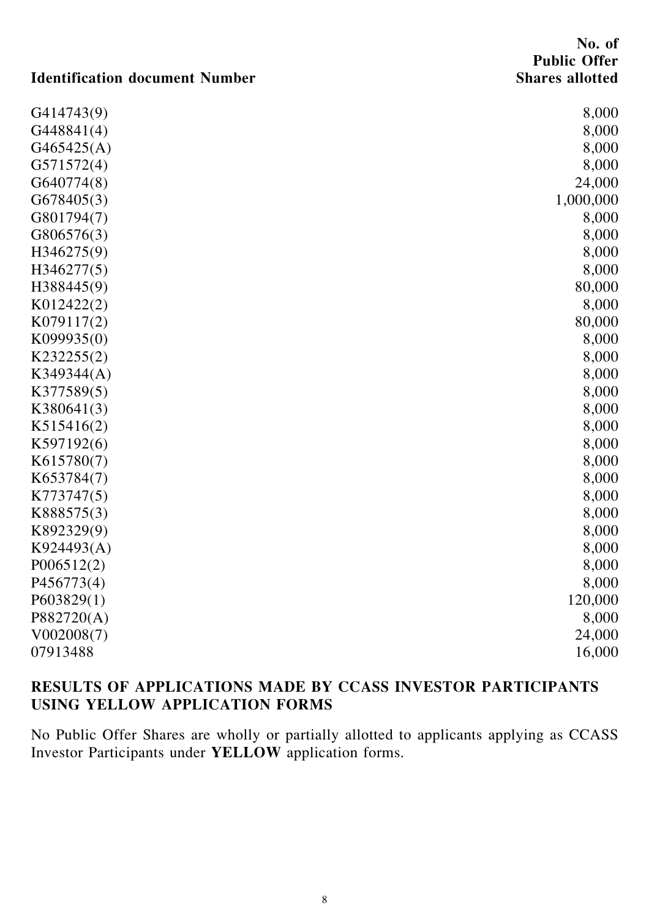### No. of Public Offer Shares allotted

## Identification document Number

| G414743(9) | 8,000     |
|------------|-----------|
| G448841(4) | 8,000     |
| G465425(A) | 8,000     |
| G571572(4) | 8,000     |
| G640774(8) | 24,000    |
| G678405(3) | 1,000,000 |
| G801794(7) | 8,000     |
| G806576(3) | 8,000     |
| H346275(9) | 8,000     |
| H346277(5) | 8,000     |
| H388445(9) | 80,000    |
| K012422(2) | 8,000     |
| K079117(2) | 80,000    |
| K099935(0) | 8,000     |
| K232255(2) | 8,000     |
| K349344(A) | 8,000     |
| K377589(5) | 8,000     |
| K380641(3) | 8,000     |
| K515416(2) | 8,000     |
| K597192(6) | 8,000     |
| K615780(7) | 8,000     |
| K653784(7) | 8,000     |
| K773747(5) | 8,000     |
| K888575(3) | 8,000     |
| K892329(9) | 8,000     |
| K924493(A) | 8,000     |
| P006512(2) | 8,000     |
| P456773(4) | 8,000     |
| P603829(1) | 120,000   |
| P882720(A) | 8,000     |
| V002008(7) | 24,000    |
| 07913488   | 16,000    |

## RESULTS OF APPLICATIONS MADE BY CCASS INVESTOR PARTICIPANTS USING YELLOW APPLICATION FORMS

No Public Offer Shares are wholly or partially allotted to applicants applying as CCASS Investor Participants under YELLOW application forms.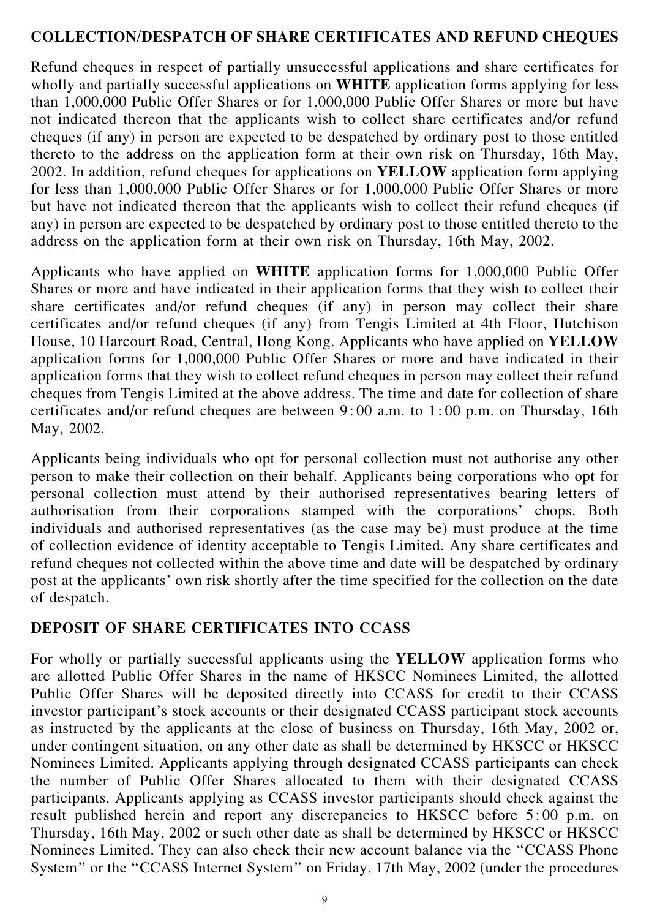#### COLLECTION/DESPATCH OF SHARE CERTIFICATES AND REFUND CHEQUES

Refund cheques in respect of partially unsuccessful applications and share certificates for wholly and partially successful applications on **WHITE** application forms applying for less than 1,000,000 Public Offer Shares or for 1,000,000 Public Offer Shares or more but have not indicated thereon that the applicants wish to collect share certificates and/or refund cheques (if any) in person are expected to be despatched by ordinary post to those entitled thereto to the address on the application form at their own risk on Thursday, 16th May, 2002. In addition, refund cheques for applications on YELLOW application form applying for less than 1,000,000 Public Offer Shares or for 1,000,000 Public Offer Shares or more but have not indicated thereon that the applicants wish to collect their refund cheques (if any) in person are expected to be despatched by ordinary post to those entitled thereto to the address on the application form at their own risk on Thursday, 16th May, 2002.

Applicants who have applied on WHITE application forms for 1,000,000 Public Offer Shares or more and have indicated in their application forms that they wish to collect their share certificates and/or refund cheques (if any) in person may collect their share certificates and/or refund cheques (if any) from Tengis Limited at 4th Floor, Hutchison House, 10 Harcourt Road, Central, Hong Kong. Applicants who have applied on YELLOW application forms for 1,000,000 Public Offer Shares or more and have indicated in their application forms that they wish to collect refund cheques in person may collect their refund cheques from Tengis Limited at the above address. The time and date for collection of share certificates and/or refund cheques are between 9: 00 a.m. to 1: 00 p.m. on Thursday, 16th May, 2002.

Applicants being individuals who opt for personal collection must not authorise any other person to make their collection on their behalf. Applicants being corporations who opt for personal collection must attend by their authorised representatives bearing letters of authorisation from their corporations stamped with the corporations' chops. Both individuals and authorised representatives (as the case may be) must produce at the time of collection evidence of identity acceptable to Tengis Limited. Any share certificates and refund cheques not collected within the above time and date will be despatched by ordinary post at the applicants' own risk shortly after the time specified for the collection on the date of despatch.

#### DEPOSIT OF SHARE CERTIFICATES INTO CCASS

For wholly or partially successful applicants using the YELLOW application forms who are allotted Public Offer Shares in the name of HKSCC Nominees Limited, the allotted Public Offer Shares will be deposited directly into CCASS for credit to their CCASS investor participant's stock accounts or their designated CCASS participant stock accounts as instructed by the applicants at the close of business on Thursday, 16th May, 2002 or, under contingent situation, on any other date as shall be determined by HKSCC or HKSCC Nominees Limited. Applicants applying through designated CCASS participants can check the number of Public Offer Shares allocated to them with their designated CCASS participants. Applicants applying as CCASS investor participants should check against the result published herein and report any discrepancies to HKSCC before 5: 00 p.m. on Thursday, 16th May, 2002 or such other date as shall be determined by HKSCC or HKSCC Nominees Limited. They can also check their new account balance via the ''CCASS Phone System'' or the ''CCASS Internet System'' on Friday, 17th May, 2002 (under the procedures